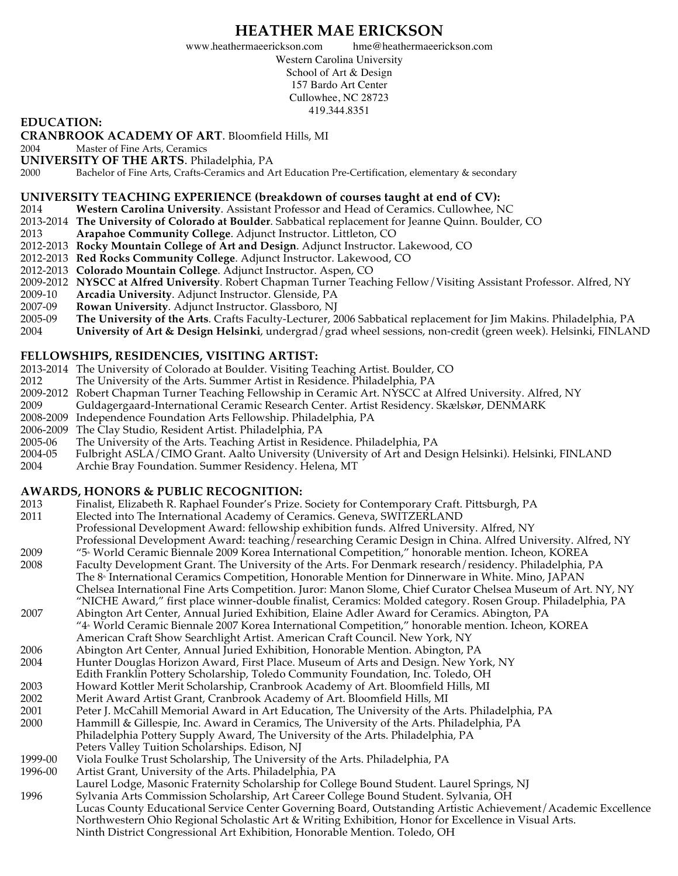# **HEATHER MAE ERICKSON**

www.heathermaeerickson.com hme@heathermaeerickson.com

Western Carolina University School of Art & Design 157 Bardo Art Center Cullowhee, NC 28723 419.344.8351

#### **EDUCATION:**

**CRANBROOK ACADEMY OF ART**. Bloomfield Hills, MI

2004 Master of Fine Arts, Ceramics

**UNIVERSITY OF THE ARTS.** Philadelphia, PA 2000 Bachelor of Fine Arts. Crafts-Ceramics and A

Bachelor of Fine Arts, Crafts-Ceramics and Art Education Pre-Certification, elementary & secondary

## **UNIVERSITY TEACHING EXPERIENCE (breakdown of courses taught at end of CV):**

- 2014 **Western Carolina University**. Assistant Professor and Head of Ceramics. Cullowhee, NC
- 2013-2014 **The University of Colorado at Boulder**. Sabbatical replacement for Jeanne Quinn. Boulder, CO
- 2013 **Arapahoe Community College**. Adjunct Instructor. Littleton, CO
- 2012-2013 **Rocky Mountain College of Art and Design**. Adjunct Instructor. Lakewood, CO
- 2012-2013 **Red Rocks Community College**. Adjunct Instructor. Lakewood, CO
- 2012-2013 **Colorado Mountain College**. Adjunct Instructor. Aspen, CO
- 2009-2012 **NYSCC at Alfred University**. Robert Chapman Turner Teaching Fellow/Visiting Assistant Professor. Alfred, NY
- 2009-10 **Arcadia University**. Adjunct Instructor. Glenside, PA
- 2007-09 **Rowan University**. Adjunct Instructor. Glassboro, NJ
- 2005-09 **The University of the Arts**. Crafts Faculty-Lecturer, 2006 Sabbatical replacement for Jim Makins. Philadelphia, PA
- 2004 **University of Art & Design Helsinki**, undergrad/grad wheel sessions, non-credit (green week). Helsinki, FINLAND

## **FELLOWSHIPS, RESIDENCIES, VISITING ARTIST:**

- 2013-2014 The University of Colorado at Boulder. Visiting Teaching Artist. Boulder, CO
- 2012 The University of the Arts. Summer Artist in Residence. Philadelphia, PA
- 2009-2012 Robert Chapman Turner Teaching Fellowship in Ceramic Art. NYSCC at Alfred University. Alfred, NY
- 2009 Guldagergaard-International Ceramic Research Center. Artist Residency. Skælskør, DENMARK
- 2008-2009 Independence Foundation Arts Fellowship. Philadelphia, PA
- 2006-2009 The Clay Studio, Resident Artist. Philadelphia, PA
- 2005-06 The University of the Arts. Teaching Artist in Residence. Philadelphia, PA
- 2004-05 Fulbright ASLA/CIMO Grant. Aalto University (University of Art and Design Helsinki). Helsinki, FINLAND
- 2004 Archie Bray Foundation. Summer Residency. Helena, MT

## **AWARDS, HONORS & PUBLIC RECOGNITION:**

- 2013 Finalist, Elizabeth R. Raphael Founder's Prize. Society for Contemporary Craft. Pittsburgh, PA
- 2011 Elected into The International Academy of Ceramics. Geneva, SWITZERLAND
	- Professional Development Award: fellowship exhibition funds. Alfred University. Alfred, NY
- Professional Development Award: teaching/researching Ceramic Design in China. Alfred University. Alfred, NY
- 2009 "5th World Ceramic Biennale 2009 Korea International Competition," honorable mention. Icheon, KOREA Faculty Development Grant. The University of the Arts. For Denmark research/residency. Philadelphia, PA
- The 8<sup>*f*</sup> International Ceramics Competition, Honorable Mention for Dinnerware in White. Mino, JAPAN Chelsea International Fine Arts Competition. Juror: Manon Slome, Chief Curator Chelsea Museum of Art. NY, NY "NICHE Award," first place winner-double finalist, Ceramics: Molded category. Rosen Group. Philadelphia, PA
- 2007 Abington Art Center, Annual Juried Exhibition, Elaine Adler Award for Ceramics. Abington, PA "4<sup>\*</sup> World Ceramic Biennale 2007 Korea International Competition," honorable mention. Icheon, KOREA American Craft Show Searchlight Artist. American Craft Council. New York, NY
- 2006 Abington Art Center, Annual Juried Exhibition, Honorable Mention. Abington, PA
- 2004 Hunter Douglas Horizon Award, First Place. Museum of Arts and Design. New York, NY
- Edith Franklin Pottery Scholarship, Toledo Community Foundation, Inc. Toledo, OH
- 2003 Howard Kottler Merit Scholarship, Cranbrook Academy of Art. Bloomfield Hills, MI
- 2002 Merit Award Artist Grant, Cranbrook Academy of Art. Bloomfield Hills, MI
- Peter J. McCahill Memorial Award in Art Education, The University of the Arts. Philadelphia, PA
- 2000 Hammill & Gillespie, Inc. Award in Ceramics, The University of the Arts. Philadelphia, PA
- Philadelphia Pottery Supply Award, The University of the Arts. Philadelphia, PA
- Peters Valley Tuition Scholarships. Edison, NJ
- 1999-00 Viola Foulke Trust Scholarship, The University of the Arts. Philadelphia, PA<br>1996-00 Artist Grant, University of the Arts. Philadelphia, PA
- Artist Grant, University of the Arts. Philadelphia, PA
- Laurel Lodge, Masonic Fraternity Scholarship for College Bound Student. Laurel Springs, NJ 1996 Sylvania Arts Commission Scholarship, Art Career College Bound Student. Sylvania, OH Lucas County Educational Service Center Governing Board, Outstanding Artistic Achievement/Academic Excellence Northwestern Ohio Regional Scholastic Art & Writing Exhibition, Honor for Excellence in Visual Arts. Ninth District Congressional Art Exhibition, Honorable Mention. Toledo, OH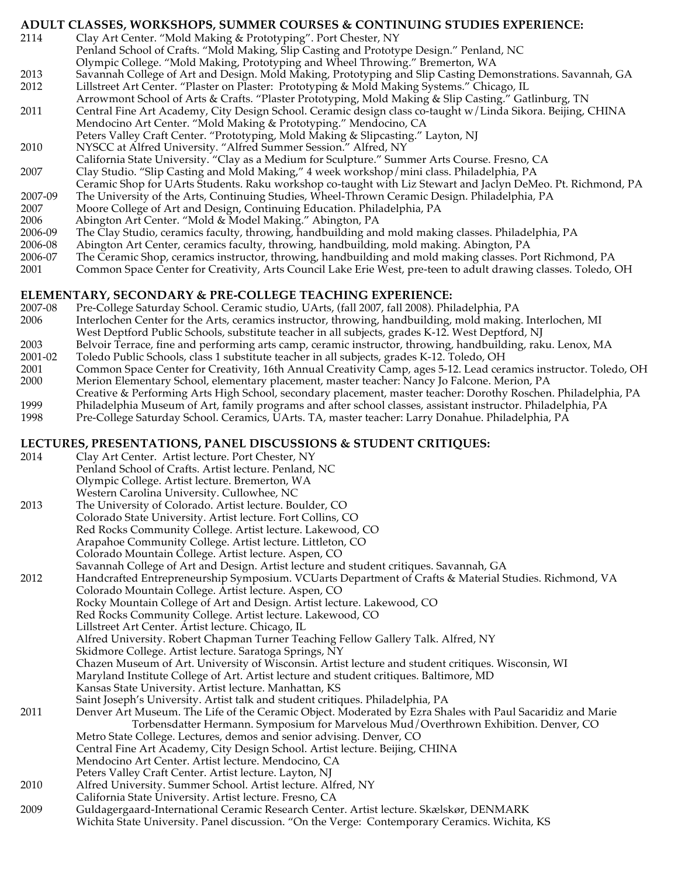## **ADULT CLASSES, WORKSHOPS, SUMMER COURSES & CONTINUING STUDIES EXPERIENCE:**

- 2114 Clay Art Center. "Mold Making & Prototyping". Port Chester, NY Penland School of Crafts. "Mold Making, Slip Casting and Prototype Design." Penland, NC Olympic College. "Mold Making, Prototyping and Wheel Throwing." Bremerton, WA
- 2013 Savannah College of Art and Design. Mold Making, Prototyping and Slip Casting Demonstrations. Savannah, GA 2012 Lillstreet Art Center. "Plaster on Plaster: Prototyping & Mold Making Systems." Chicago, IL
	- Arrowmont School of Arts & Crafts. "Plaster Prototyping, Mold Making & Slip Casting." Gatlinburg, TN
- 2011 Central Fine Art Academy, City Design School. Ceramic design class co-taught w/Linda Sikora. Beijing, CHINA Mendocino Art Center. "Mold Making & Prototyping." Mendocino, CA
	- Peters Valley Craft Center. "Prototyping, Mold Making & Slipcasting." Layton, NJ
- 2010 NYSCC at Alfred University. "Alfred Summer Session." Alfred, NY
- California State University. "Clay as a Medium for Sculpture." Summer Arts Course. Fresno, CA 2007 Clay Studio. "Slip Casting and Mold Making," 4 week workshop/mini class. Philadelphia, PA
- Ceramic Shop for UArts Students. Raku workshop co-taught with Liz Stewart and Jaclyn DeMeo. Pt. Richmond, PA
- 2007-09 The University of the Arts, Continuing Studies, Wheel-Thrown Ceramic Design. Philadelphia, PA
- 2007 Moore College of Art and Design, Continuing Education. Philadelphia, PA
- 2006 Abington Art Center. "Mold & Model Making." Abington, PA
- 2006-09 The Clay Studio, ceramics faculty, throwing, handbuilding and mold making classes. Philadelphia, PA
- 2006-08 Abington Art Center, ceramics faculty, throwing, handbuilding, mold making. Abington, PA
- 2006-07 The Ceramic Shop, ceramics instructor, throwing, handbuilding and mold making classes. Port Richmond, PA
- 2001 Common Space Center for Creativity, Arts Council Lake Erie West, pre-teen to adult drawing classes. Toledo, OH

# **ELEMENTARY, SECONDARY & PRE-COLLEGE TEACHING EXPERIENCE:**

- 2007-08 Pre-College Saturday School. Ceramic studio, UArts, (fall 2007, fall 2008). Philadelphia, PA
- 2006 Interlochen Center for the Arts, ceramics instructor, throwing, handbuilding, mold making. Interlochen, MI West Deptford Public Schools, substitute teacher in all subjects, grades K-12. West Deptford, NJ
- 2003 Belvoir Terrace, fine and performing arts camp, ceramic instructor, throwing, handbuilding, raku. Lenox, MA
- 2001-02 Toledo Public Schools, class 1 substitute teacher in all subjects, grades K-12. Toledo, OH
- 2001 Common Space Center for Creativity, 16th Annual Creativity Camp, ages 5-12. Lead ceramics instructor. Toledo, OH 2000 Merion Elementary School, elementary placement, master teacher: Nancy Jo Falcone. Merion, PA
- Creative & Performing Arts High School, secondary placement, master teacher: Dorothy Roschen. Philadelphia, PA
- 1999 Philadelphia Museum of Art, family programs and after school classes, assistant instructor. Philadelphia, PA
- 1998 Pre-College Saturday School. Ceramics, UArts. TA, master teacher: Larry Donahue. Philadelphia, PA

# **LECTURES, PRESENTATIONS, PANEL DISCUSSIONS & STUDENT CRITIQUES:**

- 2014 Clay Art Center. Artist lecture. Port Chester, NY Penland School of Crafts. Artist lecture. Penland, NC Olympic College. Artist lecture. Bremerton, WA
- Western Carolina University. Cullowhee, NC 2013 The University of Colorado. Artist lecture. Boulder, CO Colorado State University. Artist lecture. Fort Collins, CO Red Rocks Community College. Artist lecture. Lakewood, CO Arapahoe Community College. Artist lecture. Littleton, CO Colorado Mountain College. Artist lecture. Aspen, CO
- Savannah College of Art and Design. Artist lecture and student critiques. Savannah, GA
- 2012 Handcrafted Entrepreneurship Symposium. VCUarts Department of Crafts & Material Studies. Richmond, VA Colorado Mountain College. Artist lecture. Aspen, CO
	- Rocky Mountain College of Art and Design. Artist lecture. Lakewood, CO
		- Red Rocks Community College. Artist lecture. Lakewood, CO
		- Lillstreet Art Center. Artist lecture. Chicago, IL
			- Alfred University. Robert Chapman Turner Teaching Fellow Gallery Talk. Alfred, NY
	- Skidmore College. Artist lecture. Saratoga Springs, NY
		- Chazen Museum of Art. University of Wisconsin. Artist lecture and student critiques. Wisconsin, WI
		- Maryland Institute College of Art. Artist lecture and student critiques. Baltimore, MD
	- Kansas State University. Artist lecture. Manhattan, KS
- Saint Joseph's University. Artist talk and student critiques. Philadelphia, PA
- 2011 Denver Art Museum. The Life of the Ceramic Object. Moderated by Ezra Shales with Paul Sacaridiz and Marie Torbensdatter Hermann. Symposium for Marvelous Mud/Overthrown Exhibition. Denver, CO Metro State College. Lectures, demos and senior advising. Denver, CO Central Fine Art Academy, City Design School. Artist lecture. Beijing, CHINA Mendocino Art Center. Artist lecture. Mendocino, CA Peters Valley Craft Center. Artist lecture. Layton, NJ
- 2010 Alfred University. Summer School. Artist lecture. Alfred, NY
- California State University. Artist lecture. Fresno, CA
- 2009 Guldagergaard-International Ceramic Research Center. Artist lecture. Skælskør, DENMARK Wichita State University. Panel discussion. "On the Verge: Contemporary Ceramics. Wichita, KS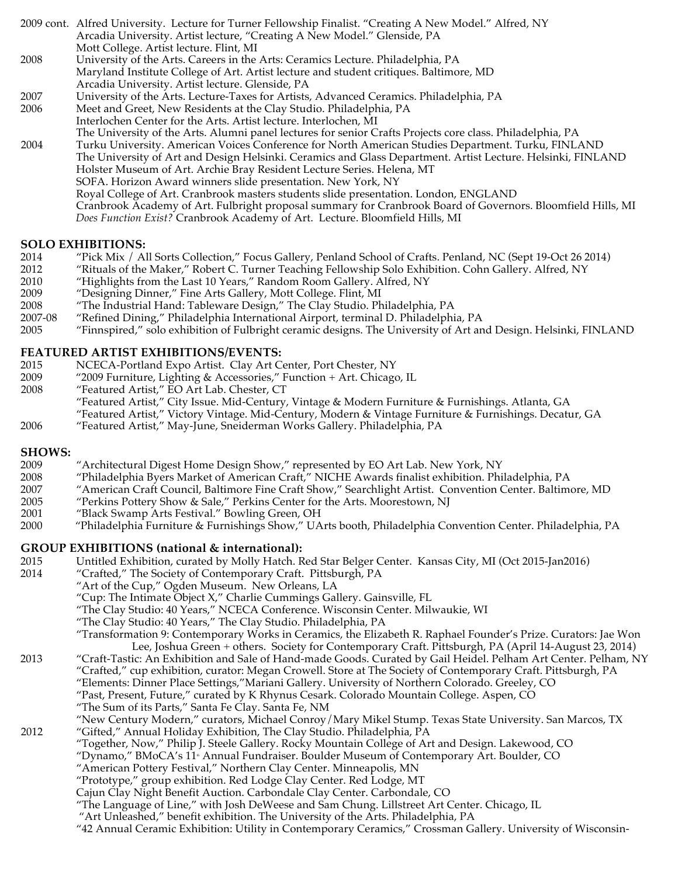2009 cont. Alfred University. Lecture for Turner Fellowship Finalist. "Creating A New Model." Alfred, NY Arcadia University. Artist lecture, "Creating A New Model." Glenside, PA Mott College. Artist lecture. Flint, MI 2008 University of the Arts. Careers in the Arts: Ceramics Lecture. Philadelphia, PA Maryland Institute College of Art. Artist lecture and student critiques. Baltimore, MD Arcadia University. Artist lecture. Glenside, PA 2007 University of the Arts. Lecture-Taxes for Artists, Advanced Ceramics. Philadelphia, PA 2006 Meet and Greet, New Residents at the Clay Studio. Philadelphia, PA Interlochen Center for the Arts. Artist lecture. Interlochen, MI The University of the Arts. Alumni panel lectures for senior Crafts Projects core class. Philadelphia, PA 2004 Turku University. American Voices Conference for North American Studies Department. Turku, FINLAND The University of Art and Design Helsinki. Ceramics and Glass Department. Artist Lecture. Helsinki, FINLAND Holster Museum of Art. Archie Bray Resident Lecture Series. Helena, MT SOFA. Horizon Award winners slide presentation. New York, NY Royal College of Art. Cranbrook masters students slide presentation. London, ENGLAND Cranbrook Academy of Art. Fulbright proposal summary for Cranbrook Board of Governors. Bloomfield Hills, MI *Does Function Exist?* Cranbrook Academy of Art. Lecture. Bloomfield Hills, MI

# **SOLO EXHIBITIONS:**<br>2014 *T***ick Mix / Al**

- 2014 "Pick Mix / All Sorts Collection," Focus Gallery, Penland School of Crafts. Penland, NC (Sept 19-Oct 26 2014)
- 2012 "Rituals of the Maker," Robert C. Turner Teaching Fellowship Solo Exhibition. Cohn Gallery. Alfred, NY
- 2010 "Highlights from the Last 10 Years," Random Room Gallery. Alfred, NY
- 2009 "Designing Dinner," Fine Arts Gallery, Mott College. Flint, MI
- 2008 "The Industrial Hand: Tableware Design," The Clay Studio. Philadelphia, PA
- 2007-08 "Refined Dining," Philadelphia International Airport, terminal D. Philadelphia, PA
- 2005 "Finnspired," solo exhibition of Fulbright ceramic designs. The University of Art and Design. Helsinki, FINLAND

#### **FEATURED ARTIST EXHIBITIONS/EVENTS:**

- 2015 NCECA-Portland Expo Artist. Clay Art Center, Port Chester, NY<br>2009 2009 Furniture, Lighting & Accessories," Function + Art. Chicago
- "2009 Furniture, Lighting & Accessories," Function + Art. Chicago, IL
- 2008 "Featured Artist," EO Art Lab. Chester, CT
	- "Featured Artist," City Issue. Mid-Century, Vintage & Modern Furniture & Furnishings. Atlanta, GA
		- "Featured Artist," Victory Vintage. Mid-Century, Modern & Vintage Furniture & Furnishings. Decatur, GA
- 2006 "Featured Artist," May-June, Sneiderman Works Gallery. Philadelphia, PA

#### **SHOWS:**

- 2009 "Architectural Digest Home Design Show," represented by EO Art Lab. New York, NY
- 2008 "Philadelphia Byers Market of American Craft," NICHE Awards finalist exhibition. Philadelphia, PA
- 2007 "American Craft Council, Baltimore Fine Craft Show," Searchlight Artist. Convention Center. Baltimore, MD
- 2005 "Perkins Pottery Show & Sale," Perkins Center for the Arts. Moorestown, NJ
- 2001 "Black Swamp Arts Festival." Bowling Green, OH
- 2000 "Philadelphia Furniture & Furnishings Show," UArts booth, Philadelphia Convention Center. Philadelphia, PA

#### **GROUP EXHIBITIONS (national & international):**

- 2015 Untitled Exhibition, curated by Molly Hatch. Red Star Belger Center. Kansas City, MI (Oct 2015-Jan2016)<br>2014 "Crafted," The Society of Contemporary Craft. Pittsburgh, PA
- "Crafted," The Society of Contemporary Craft. Pittsburgh, PA
	- "Art of the Cup," Ogden Museum. New Orleans, LA
		- "Cup: The Intimate Object X," Charlie Cummings Gallery. Gainsville, FL
		- "The Clay Studio: 40 Years," NCECA Conference. Wisconsin Center. Milwaukie, WI
		- "The Clay Studio: 40 Years," The Clay Studio. Philadelphia, PA

"Transformation 9: Contemporary Works in Ceramics, the Elizabeth R. Raphael Founder's Prize. Curators: Jae Won Lee, Joshua Green + others. Society for Contemporary Craft. Pittsburgh, PA (April 14-August 23, 2014)

- 2013 "Craft-Tastic: An Exhibition and Sale of Hand-made Goods. Curated by Gail Heidel. Pelham Art Center. Pelham, NY "Crafted," cup exhibition, curator: Megan Crowell. Store at The Society of Contemporary Craft. Pittsburgh, PA "Elements: Dinner Place Settings,"Mariani Gallery. University of Northern Colorado. Greeley, CO "Past, Present, Future," curated by K Rhynus Cesark. Colorado Mountain College. Aspen, CO "The Sum of its Parts," Santa Fe Clay. Santa Fe, NM "New Century Modern," curators, Michael Conroy/Mary Mikel Stump. Texas State University. San Marcos, TX 2012 "Gifted," Annual Holiday Exhibition, The Clay Studio. Philadelphia, PA
	- "Together, Now," Philip J. Steele Gallery. Rocky Mountain College of Art and Design. Lakewood, CO
	- "Dynamo," BMoCA's 11<sup>\*</sup> Annual Fundraiser. Boulder Museum of Contemporary Art. Boulder, CO
	- "American Pottery Festival," Northern Clay Center. Minneapolis, MN
	- "Prototype," group exhibition. Red Lodge Clay Center. Red Lodge, MT
	- Cajun Clay Night Benefit Auction. Carbondale Clay Center. Carbondale, CO
	- "The Language of Line," with Josh DeWeese and Sam Chung. Lillstreet Art Center. Chicago, IL
	- "Art Unleashed," benefit exhibition. The University of the Arts. Philadelphia, PA
	- "42 Annual Ceramic Exhibition: Utility in Contemporary Ceramics," Crossman Gallery. University of Wisconsin-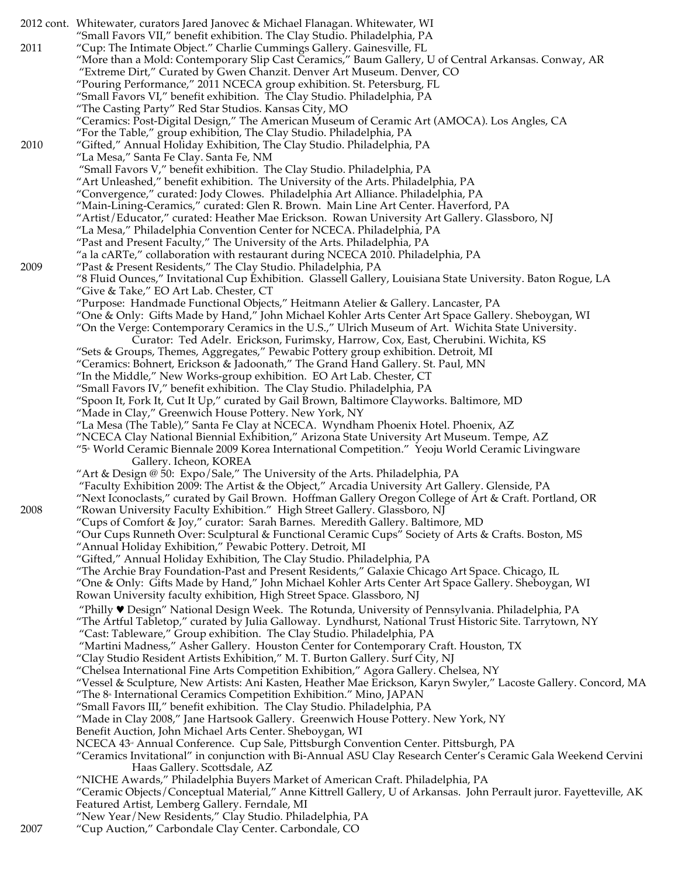|      | 2012 cont. Whitewater, curators Jared Janovec & Michael Flanagan. Whitewater, WI                                                                                          |
|------|---------------------------------------------------------------------------------------------------------------------------------------------------------------------------|
|      | "Small Favors VII," benefit exhibition. The Clay Studio. Philadelphia, PA                                                                                                 |
| 2011 | "Cup: The Intimate Object." Charlie Cummings Gallery. Gainesville, FL                                                                                                     |
|      | "More than a Mold: Contemporary Slip Cast Ceramics," Baum Gallery, U of Central Arkansas. Conway, AR                                                                      |
|      | "Extreme Dirt," Curated by Gwen Chanzit. Denver Art Museum. Denver, CO                                                                                                    |
|      | "Pouring Performance," 2011 NCECA group exhibition. St. Petersburg, FL                                                                                                    |
|      | "Small Favors VI," benefit exhibition. The Clay Studio. Philadelphia, PA                                                                                                  |
|      | "The Casting Party" Red Star Studios. Kansas City, MO                                                                                                                     |
|      | "Ceramics: Post-Digital Design," The American Museum of Ceramic Art (AMOCA). Los Angles, CA                                                                               |
|      | "For the Table," group exhibition, The Clay Studio. Philadelphia, PA                                                                                                      |
| 2010 | "Gifted," Annual Holiday Exhibition, The Clay Studio. Philadelphia, PA                                                                                                    |
|      | "La Mesa," Santa Fe Clay. Santa Fe, NM                                                                                                                                    |
|      | "Small Favors V," benefit exhibition. The Clay Studio. Philadelphia, PA                                                                                                   |
|      | "Art Unleashed," benefit exhibition. The University of the Arts. Philadelphia, PA                                                                                         |
|      | "Convergence," curated: Jody Clowes. Philadelphia Art Alliance. Philadelphia, PA<br>"Main-Lining-Ceramics," curated: Glen R. Brown. Main Line Art Center. Haverford, PA   |
|      | "Artist/Educator," curated: Heather Mae Erickson. Rowan University Art Gallery. Glassboro, NJ                                                                             |
|      | "La Mesa," Philadelphia Convention Center for NCECA. Philadelphia, PA                                                                                                     |
|      | "Past and Present Faculty," The University of the Arts. Philadelphia, PA                                                                                                  |
|      | "a la cARTe," collaboration with restaurant during NCECA 2010. Philadelphia, PA                                                                                           |
| 2009 | "Past & Present Residents," The Clay Studio. Philadelphia, PA                                                                                                             |
|      | "8 Fluid Ounces," Invitational Cup Exhibition. Glassell Gallery, Louisiana State University. Baton Rogue, LA                                                              |
|      | "Give & Take," EO Art Lab. Chester, CT                                                                                                                                    |
|      | "Purpose: Handmade Functional Objects," Heitmann Atelier & Gallery. Lancaster, PA                                                                                         |
|      | One & Only: Gifts Made by Hand," John Michael Kohler Arts Center Art Space Gallery. Sheboygan, WI''                                                                       |
|      | "On the Verge: Contemporary Ceramics in the U.S.," Ulrich Museum of Art. Wichita State University.                                                                        |
|      | Curator: Ted Adelr. Erickson, Furimsky, Harrow, Cox, East, Cherubini. Wichita, KS                                                                                         |
|      | "Sets & Groups, Themes, Aggregates," Pewabic Pottery group exhibition. Detroit, MI                                                                                        |
|      | "Ceramics: Bohnert, Erickson & Jadoonath," The Grand Hand Gallery. St. Paul, MN                                                                                           |
|      | "In the Middle," New Works-group exhibition. EO Art Lab. Chester, CT                                                                                                      |
|      | "Small Favors IV," benefit exhibition. The Clay Studio. Philadelphia, PA                                                                                                  |
|      | "Spoon It, Fork It, Cut It Up," curated by Gail Brown, Baltimore Clayworks. Baltimore, MD<br>"Made in Clay," Greenwich House Pottery. New York, NY                        |
|      | "La Mesa (The Table)," Santa Fe Clay at NCECA. Wyndham Phoenix Hotel. Phoenix, AZ                                                                                         |
|      | "NCECA Clay National Biennial Exhibition," Arizona State University Art Museum. Tempe, AZ                                                                                 |
|      | "5 <sup>®</sup> World Ceramic Biennale 2009 Korea International Competition." Yeoju World Ceramic Livingware                                                              |
|      | Gallery. Icheon, KOREA                                                                                                                                                    |
|      | "Art & Design @ 50: Expo/Sale," The University of the Arts. Philadelphia, PA                                                                                              |
|      | "Faculty Exhibition 2009: The Artist & the Object," Arcadia University Art Gallery. Glenside, PA                                                                          |
|      | "Next Iconoclasts," curated by Gail Brown. Hoffman Gallery Oregon College of Art & Craft. Portland, OR                                                                    |
| 2008 | "Rowan University Faculty Exhibition." High Street Gallery. Glassboro, NJ                                                                                                 |
|      | "Cups of Comfort & Joy," curator: Sarah Barnes. Meredith Gallery. Baltimore, MD                                                                                           |
|      | "Our Cups Runneth Over: Sculptural & Functional Ceramic Cups" Society of Arts & Crafts. Boston, MS                                                                        |
|      | "Annual Holiday Exhibition," Pewabic Pottery. Detroit, MI                                                                                                                 |
|      | "Gifted," Annual Holiday Exhibition, The Clay Studio. Philadelphia, PA<br>"The Archie Bray Foundation-Past and Present Residents," Galaxie Chicago Art Space. Chicago, IL |
|      | One & Only:  Gifts Made by Hand," John Michael Kohler Arts Center Art Space Gallery. Sheboygan, WI"                                                                       |
|      | Rowan University faculty exhibition, High Street Space. Glassboro, NJ                                                                                                     |
|      | "Philly ♥ Design" National Design Week. The Rotunda, University of Pennsylvania. Philadelphia, PA                                                                         |
|      | "The Artful Tabletop," curated by Julia Galloway. Lyndhurst, National Trust Historic Site. Tarrytown, NY                                                                  |
|      | "Cast: Tableware," Group exhibition. The Clay Studio. Philadelphia, PA                                                                                                    |
|      | "Martini Madness," Asher Gallery. Houston Center for Contemporary Craft. Houston, TX                                                                                      |
|      | "Clay Studio Resident Artists Exhibition," M. T. Burton Gallery. Surf City, NJ                                                                                            |
|      | "Chelsea International Fine Arts Competition Exhibition," Agora Gallery. Chelsea, NY                                                                                      |
|      | "Vessel & Sculpture, New Artists: Ani Kasten, Heather Mae Erickson, Karyn Swyler," Lacoste Gallery. Concord, MA                                                           |
|      | "The 8 <sup>®</sup> International Ceramics Competition Exhibition." Mino, JAPAN                                                                                           |
|      | "Small Favors III," benefit exhibition. The Clay Studio. Philadelphia, PA                                                                                                 |
|      | "Made in Clay 2008," Jane Hartsook Gallery. Greenwich House Pottery. New York, NY                                                                                         |
|      | Benefit Auction, John Michael Arts Center. Sheboygan, WI                                                                                                                  |
|      | NCECA 43 <sup>®</sup> Annual Conference. Cup Sale, Pittsburgh Convention Center. Pittsburgh, PA                                                                           |
|      | "Ceramics Invitational" in conjunction with Bi-Annual ASU Clay Research Center's Ceramic Gala Weekend Cervini<br>Haas Gallery. Scottsdale, AZ                             |
|      | "NICHE Awards," Philadelphia Buyers Market of American Craft. Philadelphia, PA                                                                                            |
|      | "Ceramic Objects/Conceptual Material," Anne Kittrell Gallery, U of Arkansas. John Perrault juror. Fayetteville, AK                                                        |
|      | Featured Artist, Lemberg Gallery. Ferndale, MI                                                                                                                            |
|      | "New Year/New Residents," Clay Studio. Philadelphia, PA                                                                                                                   |
| 2007 | "Cup Auction," Carbondale Clay Center. Carbondale, CO                                                                                                                     |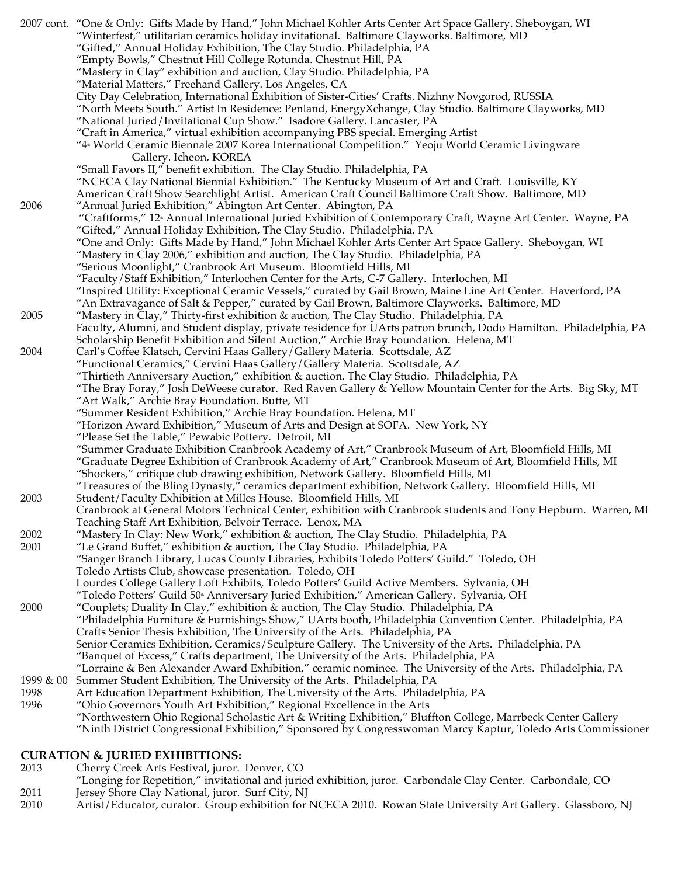|           | 2007 cont. "One & Only: Gifts Made by Hand," John Michael Kohler Arts Center Art Space Gallery. Sheboygan, WI           |
|-----------|-------------------------------------------------------------------------------------------------------------------------|
|           | "Winterfest," utilitarian ceramics holiday invitational. Baltimore Clayworks. Baltimore, MD                             |
|           | "Gifted," Annual Holiday Exhibition, The Clay Studio. Philadelphia, PA                                                  |
|           | "Empty Bowls," Chestnut Hill College Rotunda. Chestnut Hill, PA                                                         |
|           | "Mastery in Clay" exhibition and auction, Clay Studio. Philadelphia, PA                                                 |
|           | "Material Matters," Freehand Gallery. Los Angeles, CA                                                                   |
|           | City Day Celebration, International Exhibition of Sister-Cities' Crafts. Nizhny Novgorod, RUSSIA                        |
|           | "North Meets South." Artist In Residence: Penland, EnergyXchange, Clay Studio. Baltimore Clayworks, MD                  |
|           | "National Juried / Invitational Cup Show." Isadore Gallery. Lancaster, PA                                               |
|           | "Craft in America," virtual exhibition accompanying PBS special. Emerging Artist                                        |
|           | "4 <sup>®</sup> World Ceramic Biennale 2007 Korea International Competition." Yeoju World Ceramic Livingware            |
|           |                                                                                                                         |
|           | Gallery. Icheon, KOREA                                                                                                  |
|           | "Small Favors II," benefit exhibition. The Clay Studio. Philadelphia, PA                                                |
|           | "NCECA Clay National Biennial Exhibition." The Kentucky Museum of Art and Craft. Louisville, KY                         |
|           | American Craft Show Searchlight Artist. American Craft Council Baltimore Craft Show. Baltimore, MD                      |
| 2006      | "Annual Juried Exhibition," Abington Art Center. Abington, PA                                                           |
|           | "Craftforms," 12 <sup>®</sup> Annual International Juried Exhibition of Contemporary Craft, Wayne Art Center. Wayne, PA |
|           | "Gifted," Annual Holiday Exhibition, The Clay Studio. Philadelphia, PA                                                  |
|           | "One and Only: Gifts Made by Hand," John Michael Kohler Arts Center Art Space Gallery. Sheboygan, WI                    |
|           | "Mastery in Clay 2006," exhibition and auction, The Clay Studio. Philadelphia, PA                                       |
|           | "Serious Moonlight," Cranbrook Art Museum. Bloomfield Hills, MI                                                         |
|           | "Faculty/Staff Exhibition," Interlochen Center for the Arts, C-7 Gallery. Interlochen, MI                               |
|           | "Inspired Utility: Exceptional Ceramic Vessels," curated by Gail Brown, Maine Line Art Center. Haverford, PA            |
|           | "An Extravagance of Salt & Pepper," curated by Gail Brown, Baltimore Clayworks. Baltimore, MD                           |
| 2005      | "Mastery in Clay," Thirty-first exhibition & auction, The Clay Studio. Philadelphia, PA                                 |
|           | Faculty, Alumni, and Student display, private residence for UArts patron brunch, Dodo Hamilton. Philadelphia, PA        |
|           | Scholarship Benefit Exhibition and Silent Auction," Archie Bray Foundation. Helena, MT                                  |
| 2004      |                                                                                                                         |
|           | Carl's Coffee Klatsch, Cervini Haas Gallery / Gallery Materia. Scottsdale, AZ                                           |
|           | "Functional Ceramics," Cervini Haas Gallery / Gallery Materia. Scottsdale, AZ                                           |
|           | "Thirtieth Anniversary Auction," exhibition & auction, The Clay Studio. Philadelphia, PA                                |
|           | "The Bray Foray," Josh DeWeese curator. Red Raven Gallery & Yellow Mountain Center for the Arts. Big Sky, MT            |
|           | "Art Walk," Archie Bray Foundation. Butte, MT                                                                           |
|           | "Summer Resident Exhibition," Archie Bray Foundation. Helena, MT                                                        |
|           | "Horizon Award Exhibition," Museum of Arts and Design at SOFA. New York, NY                                             |
|           | "Please Set the Table," Pewabic Pottery. Detroit, MI                                                                    |
|           | "Summer Graduate Exhibition Cranbrook Academy of Art," Cranbrook Museum of Art, Bloomfield Hills, MI                    |
|           | "Graduate Degree Exhibition of Cranbrook Academy of Art," Cranbrook Museum of Art, Bloomfield Hills, MI                 |
|           | "Shockers," critique club drawing exhibition, Network Gallery. Bloomfield Hills, MI                                     |
|           | "Treasures of the Bling Dynasty," ceramics department exhibition, Network Gallery. Bloomfield Hills, MI                 |
| 2003      | Student/Faculty Exhibition at Milles House. Bloomfield Hills, MI                                                        |
|           | Cranbrook at General Motors Technical Center, exhibition with Cranbrook students and Tony Hepburn. Warren, MI           |
|           | Teaching Staff Art Exhibition, Belvoir Terrace. Lenox, MA                                                               |
| 2002      | "Mastery In Clay: New Work," exhibition & auction, The Clay Studio. Philadelphia, PA                                    |
| 2001      | "Le Grand Buffet," exhibition & auction, The Clay Studio. Philadelphia, PA                                              |
|           | "Sanger Branch Library, Lucas County Libraries, Exhibits Toledo Potters' Guild." Toledo, OH                             |
|           |                                                                                                                         |
|           | Toledo Artists Club, showcase presentation. Toledo, OH                                                                  |
|           | Lourdes College Gallery Loft Exhibits, Toledo Potters' Guild Active Members. Sylvania, OH                               |
|           | "Toledo Potters' Guild 50 <sup>®</sup> Anniversary Juried Exhibition," American Gallery. Sylvania, OH                   |
| 2000      | "Couplets; Duality In Clay," exhibition & auction, The Clay Studio. Philadelphia, PA                                    |
|           | "Philadelphia Furniture & Furnishings Show," UArts booth, Philadelphia Convention Center. Philadelphia, PA              |
|           | Crafts Senior Thesis Exhibition, The University of the Arts. Philadelphia, PA                                           |
|           | Senior Ceramics Exhibition, Ceramics/Sculpture Gallery. The University of the Arts. Philadelphia, PA                    |
|           | "Banquet of Excess," Crafts department, The University of the Arts. Philadelphia, PA                                    |
|           | "Lorraine & Ben Alexander Award Exhibition," ceramic nominee. The University of the Arts. Philadelphia, PA              |
| 1999 & 00 | Summer Student Exhibition, The University of the Arts. Philadelphia, PA                                                 |
| 1998      | Art Education Department Exhibition, The University of the Arts. Philadelphia, PA                                       |
| 1996      | "Ohio Governors Youth Art Exhibition," Regional Excellence in the Arts                                                  |
|           | "Northwestern Ohio Regional Scholastic Art & Writing Exhibition," Bluffton College, Marrbeck Center Gallery             |
|           | "Ninth District Congressional Exhibition," Sponsored by Congresswoman Marcy Kaptur, Toledo Arts Commissioner            |
|           |                                                                                                                         |

#### **CURATION & JURIED EXHIBITIONS:**

- 2013 Cherry Creek Arts Festival, juror. Denver, CO
- "Longing for Repetition," invitational and juried exhibition, juror. Carbondale Clay Center. Carbondale, CO
- 2011 Jersey Shore Clay National, juror. Surf City, NJ
- 2010 Artist/Educator, curator. Group exhibition for NCECA 2010. Rowan State University Art Gallery. Glassboro, NJ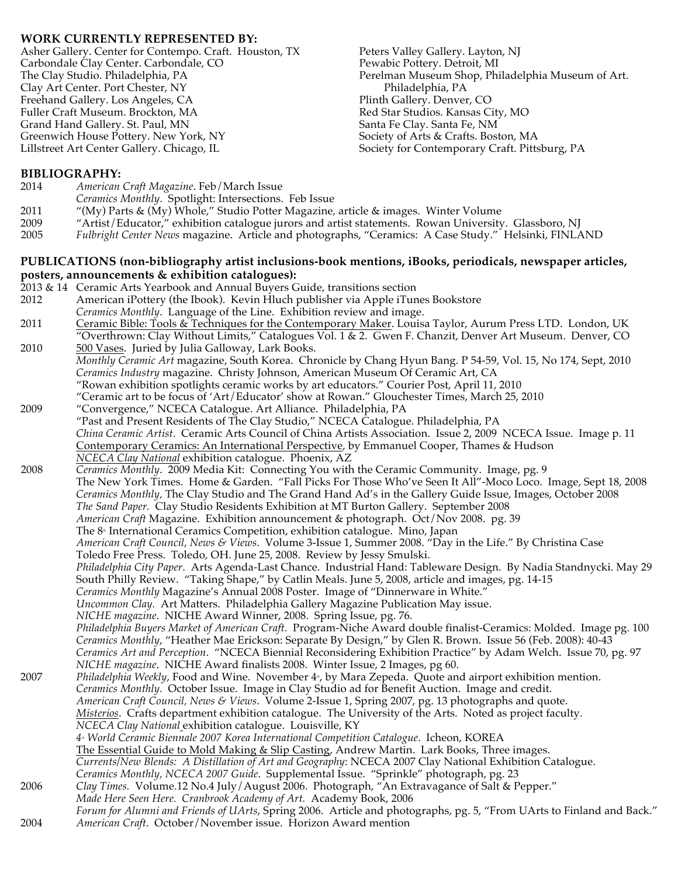## **WORK CURRENTLY REPRESENTED BY:**

Asher Gallery. Center for Contempo. Craft. Houston, TX Carbondale Clay Center. Carbondale, CO The Clay Studio. Philadelphia, PA Clay Art Center. Port Chester, NY Freehand Gallery. Los Angeles, CA Fuller Craft Museum. Brockton, MA Grand Hand Gallery. St. Paul, MN Greenwich House Pottery. New York, NY Lillstreet Art Center Gallery. Chicago, IL

Peters Valley Gallery. Layton, NJ Pewabic Pottery. Detroit, MI Perelman Museum Shop, Philadelphia Museum of Art. Philadelphia, PA Plinth Gallery. Denver, CO Red Star Studios. Kansas City, MO Santa Fe Clay. Santa Fe, NM Society of Arts & Crafts. Boston, MA Society for Contemporary Craft. Pittsburg, PA

## **BIBLIOGRAPHY:**

- 2014 *American Craft Magazine*. Feb/March Issue
- *Ceramics Monthly*. Spotlight: Intersections. Feb Issue
- 2011 "(My) Parts & (My) Whole," Studio Potter Magazine, article & images. Winter Volume
- 2009 "Artist/Educator," exhibition catalogue jurors and artist statements. Rowan University. Glassboro, NJ
- 2005 *Fulbright Center News* magazine. Article and photographs, "Ceramics: A Case Study." Helsinki, FINLAND

#### **PUBLICATIONS (non-bibliography artist inclusions-book mentions, iBooks, periodicals, newspaper articles, posters, announcements & exhibition catalogues):**

2013 & 14 Ceramic Arts Yearbook and Annual Buyers Guide, transitions section American iPottery (the Ibook). Kevin Hluch publisher via Apple iTunes Bookstore *Ceramics Monthly*. Language of the Line. Exhibition review and image. 2011 Ceramic Bible: Tools & Techniques for the Contemporary Maker. Louisa Taylor, Aurum Press LTD. London, UK "Overthrown: Clay Without Limits," Catalogues Vol. 1 & 2. Gwen F. Chanzit, Denver Art Museum. Denver, CO 2010 500 Vases. Juried by Julia Galloway, Lark Books. *Monthly Ceramic Art* magazine, South Korea. Chronicle by Chang Hyun Bang. P 54-59, Vol. 15, No 174, Sept, 2010 *Ceramics Industry* magazine. Christy Johnson, American Museum Of Ceramic Art, CA "Rowan exhibition spotlights ceramic works by art educators." Courier Post, April 11, 2010 "Ceramic art to be focus of 'Art/Educator' show at Rowan." Glouchester Times, March 25, 2010 2009 "Convergence," NCECA Catalogue. Art Alliance. Philadelphia, PA "Past and Present Residents of The Clay Studio," NCECA Catalogue. Philadelphia, PA *China Ceramic Artist*. Ceramic Arts Council of China Artists Association. Issue 2, 2009 NCECA Issue. Image p. 11 Contemporary Ceramics: An International Perspective, by Emmanuel Cooper, Thames & Hudson *NCECA Clay National* exhibition catalogue. Phoenix, AZ 2008 *Ceramics Monthly*. 2009 Media Kit: Connecting You with the Ceramic Community. Image, pg. 9 The New York Times. Home & Garden. "Fall Picks For Those Who've Seen It All"-Moco Loco. Image, Sept 18, 2008 *Ceramics Monthly,* The Clay Studio and The Grand Hand Ad's in the Gallery Guide Issue, Images, October 2008 *The Sand Paper.* Clay Studio Residents Exhibition at MT Burton Gallery. September 2008 *American Craft* Magazine. Exhibition announcement & photograph. Oct/Nov 2008. pg. 39 The 8<sup>th</sup> International Ceramics Competition, exhibition catalogue. Mino, Japan *American Craft Council, News & Views*. Volume 3-Issue 1, Summer 2008. "Day in the Life." By Christina Case Toledo Free Press. Toledo, OH. June 25, 2008. Review by Jessy Smulski. *Philadelphia City Paper*. Arts Agenda-Last Chance. Industrial Hand: Tableware Design. By Nadia Standnycki. May 29 South Philly Review. "Taking Shape," by Catlin Meals. June 5, 2008, article and images, pg. 14-15 *Ceramics Monthly* Magazine's Annual 2008 Poster. Image of "Dinnerware in White." *Uncommon Clay.* Art Matters. Philadelphia Gallery Magazine Publication May issue. *NICHE magazine*. NICHE Award Winner, 2008. Spring Issue, pg. 76. *Philadelphia Buyers Market of American Craft.* Program-Niche Award double finalist-Ceramics: Molded. Image pg. 100 *Ceramics Monthly*, "Heather Mae Erickson: Separate By Design," by Glen R. Brown. Issue 56 (Feb. 2008): 40-43 *Ceramics Art and Perception*. "NCECA Biennial Reconsidering Exhibition Practice" by Adam Welch. Issue 70, pg. 97 *NICHE magazine*. NICHE Award finalists 2008. Winter Issue, 2 Images, pg 60. 2007 *Philadelphia Weekly*, Food and Wine. November 4<sup>\*</sup>, by Mara Zepeda. Quote and airport exhibition mention. *Ceramics Monthly.* October Issue. Image in Clay Studio ad for Benefit Auction. Image and credit. *American Craft Council, News & Views*. Volume 2-Issue 1, Spring 2007, pg. 13 photographs and quote. *Misterios*. Crafts department exhibition catalogue. The University of the Arts. Noted as project faculty. *NCECA Clay National* exhibition catalogue. Louisville, KY *4th World Ceramic Biennale 2007 Korea International Competition Catalogue*. Icheon, KOREA The Essential Guide to Mold Making & Slip Casting, Andrew Martin. Lark Books, Three images. *Currents/New Blends: A Distillation of Art and Geography*: NCECA 2007 Clay National Exhibition Catalogue. *Ceramics Monthly, NCECA 2007 Guide*. Supplemental Issue. "Sprinkle" photograph, pg. 23 2006 *Clay Times.* Volume.12 No.4 July/August 2006. Photograph, "An Extravagance of Salt & Pepper." *Made Here Seen Here. Cranbrook Academy of Art.* Academy Book, 2006 *Forum for Alumni and Friends of UArts*, Spring 2006. Article and photographs, pg. 5, "From UArts to Finland and Back." 2004 *American Craft*. October/November issue. Horizon Award mention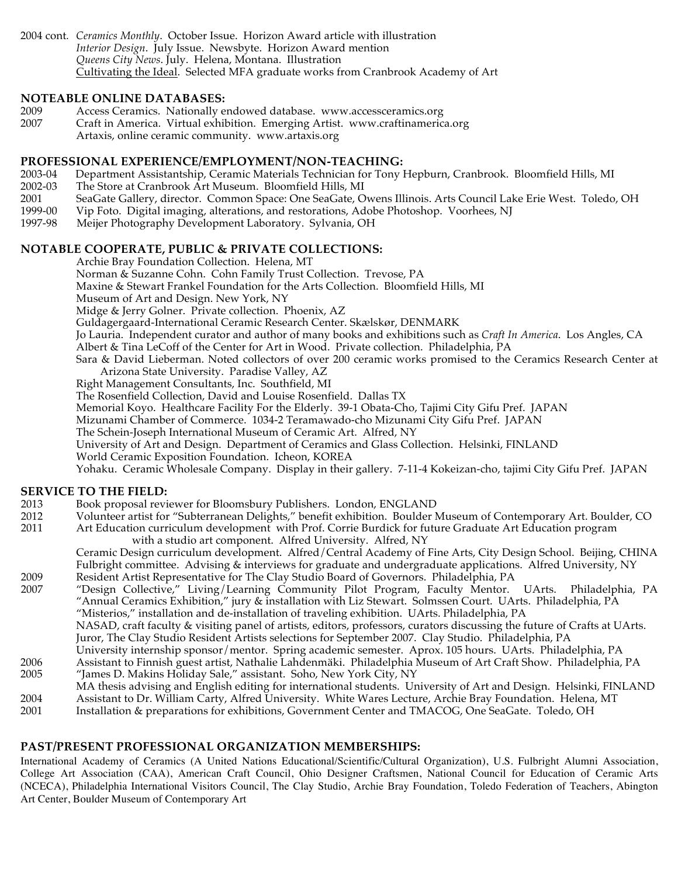2004 cont*. Ceramics Monthly*. October Issue. Horizon Award article with illustration *Interior Design*. July Issue. Newsbyte. Horizon Award mention *Queens City News*. July. Helena, Montana. Illustration Cultivating the Ideal. Selected MFA graduate works from Cranbrook Academy of Art

#### **NOTEABLE ONLINE DATABASES:**

- 2009 Access Ceramics. Nationally endowed database. www.accessceramics.org<br>2007 Craft in America. Virtual exhibition. Emerging Artist. www.craftinameric
	- Craft in America. Virtual exhibition. Emerging Artist. www.craftinamerica.org Artaxis, online ceramic community. www.artaxis.org
- **PROFESSIONAL EXPERIENCE/EMPLOYMENT/NON-TEACHING:**
- 2003-04 Department Assistantship, Ceramic Materials Technician for Tony Hepburn, Cranbrook. Bloomfield Hills, MI
- 2002-03 The Store at Cranbrook Art Museum. Bloomfield Hills, MI
- 2001 SeaGate Gallery, director. Common Space: One SeaGate, Owens Illinois. Arts Council Lake Erie West. Toledo, OH
- 1999-00 Vip Foto. Digital imaging, alterations, and restorations, Adobe Photoshop. Voorhees, NJ
- 1997-98 Meijer Photography Development Laboratory. Sylvania, OH

# **NOTABLE COOPERATE, PUBLIC & PRIVATE COLLECTIONS:**

Archie Bray Foundation Collection. Helena, MT

Norman & Suzanne Cohn. Cohn Family Trust Collection. Trevose, PA

Maxine & Stewart Frankel Foundation for the Arts Collection. Bloomfield Hills, MI

Museum of Art and Design. New York, NY

Midge & Jerry Golner. Private collection. Phoenix, AZ

Guldagergaard-International Ceramic Research Center. Skælskør, DENMARK

Jo Lauria. Independent curator and author of many books and exhibitions such as *Craft In America*. Los Angles, CA

Albert & Tina LeCoff of the Center for Art in Wood. Private collection. Philadelphia, PA

Sara & David Lieberman. Noted collectors of over 200 ceramic works promised to the Ceramics Research Center at Arizona State University. Paradise Valley, AZ

Right Management Consultants, Inc. Southfield, MI

The Rosenfield Collection, David and Louise Rosenfield. Dallas TX

Memorial Koyo. Healthcare Facility For the Elderly. 39-1 Obata-Cho, Tajimi City Gifu Pref. JAPAN

Mizunami Chamber of Commerce. 1034-2 Teramawado-cho Mizunami City Gifu Pref. JAPAN

The Schein-Joseph International Museum of Ceramic Art. Alfred, NY

University of Art and Design. Department of Ceramics and Glass Collection. Helsinki, FINLAND

World Ceramic Exposition Foundation. Icheon, KOREA

Yohaku. Ceramic Wholesale Company. Display in their gallery. 7-11-4 Kokeizan-cho, tajimi City Gifu Pref. JAPAN

# **SERVICE TO THE FIELD:**

- 2013 Book proposal reviewer for Bloomsbury Publishers. London, ENGLAND
- 2012 Volunteer artist for "Subterranean Delights," benefit exhibition. Boulder Museum of Contemporary Art. Boulder, CO
- 2011 Art Education curriculum development with Prof. Corrie Burdick for future Graduate Art Education program with a studio art component. Alfred University. Alfred, NY

Ceramic Design curriculum development. Alfred/Central Academy of Fine Arts, City Design School. Beijing, CHINA Fulbright committee. Advising & interviews for graduate and undergraduate applications. Alfred University, NY 2009 Resident Artist Representative for The Clay Studio Board of Governors. Philadelphia, PA

2007 "Design Collective," Living/Learning Community Pilot Program, Faculty Mentor. UArts. Philadelphia, PA "Annual Ceramics Exhibition," jury & installation with Liz Stewart. Solmssen Court. UArts. Philadelphia, PA "Misterios," installation and de-installation of traveling exhibition. UArts. Philadelphia, PA

NASAD, craft faculty & visiting panel of artists, editors, professors, curators discussing the future of Crafts at UArts. Juror, The Clay Studio Resident Artists selections for September 2007. Clay Studio. Philadelphia, PA

- University internship sponsor/mentor. Spring academic semester. Aprox. 105 hours. UArts. Philadelphia, PA 2006 Assistant to Finnish guest artist, Nathalie Lahdenmäki. Philadelphia Museum of Art Craft Show. Philadelphia, PA
- 2005 "James D. Makins Holiday Sale," assistant. Soho, New York City, NY MA thesis advising and English editing for international students. University of Art and Design. Helsinki, FINLAND
- 2004 Assistant to Dr. William Carty, Alfred University. White Wares Lecture, Archie Bray Foundation. Helena, MT Installation & preparations for exhibitions, Government Center and TMACOG, One SeaGate. Toledo, OH

# **PAST/PRESENT PROFESSIONAL ORGANIZATION MEMBERSHIPS:**

International Academy of Ceramics (A United Nations Educational/Scientific/Cultural Organization), U.S. Fulbright Alumni Association, College Art Association (CAA), American Craft Council, Ohio Designer Craftsmen, National Council for Education of Ceramic Arts (NCECA), Philadelphia International Visitors Council, The Clay Studio, Archie Bray Foundation, Toledo Federation of Teachers, Abington Art Center, Boulder Museum of Contemporary Art